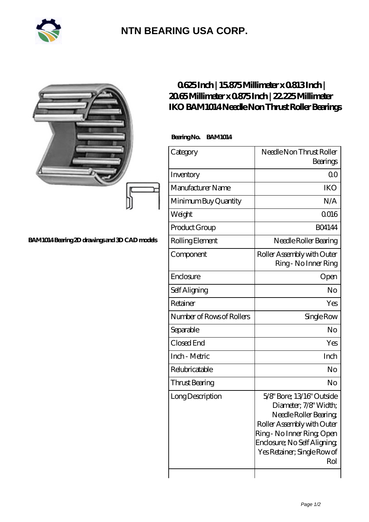

## **[NTN BEARING USA CORP.](https://m.2rw-antriebselemente.de)**

|                                               | 0625Inch   15875Millimeter x 0813Inch  <br>2065Millimeterx0875Inch   22.225Millimeter<br><b>IKO BAM1014 Needle Non Thrust Roller Bearings</b><br>BearingNo. BAM1014 |                                                                                                                                                                                                             |
|-----------------------------------------------|---------------------------------------------------------------------------------------------------------------------------------------------------------------------|-------------------------------------------------------------------------------------------------------------------------------------------------------------------------------------------------------------|
|                                               |                                                                                                                                                                     |                                                                                                                                                                                                             |
|                                               | Category                                                                                                                                                            | Needle Non Thrust Roller<br>Bearings                                                                                                                                                                        |
|                                               | Inventory                                                                                                                                                           | 0 <sub>0</sub>                                                                                                                                                                                              |
|                                               | Manufacturer Name                                                                                                                                                   | <b>IKO</b>                                                                                                                                                                                                  |
|                                               | Minimum Buy Quantity                                                                                                                                                | N/A                                                                                                                                                                                                         |
|                                               | Weight                                                                                                                                                              | <b>Q016</b>                                                                                                                                                                                                 |
|                                               | Product Group                                                                                                                                                       | <b>BO4144</b>                                                                                                                                                                                               |
| BAM1014 Bearing 2D drawings and 3D CAD models | Rolling Element                                                                                                                                                     | Needle Roller Bearing                                                                                                                                                                                       |
|                                               | Component                                                                                                                                                           | Roller Assembly with Outer<br>Ring - No Inner Ring                                                                                                                                                          |
|                                               | Enclosure                                                                                                                                                           | Open                                                                                                                                                                                                        |
|                                               | Self Aligning                                                                                                                                                       | N <sub>o</sub>                                                                                                                                                                                              |
|                                               | Retainer                                                                                                                                                            | Yes                                                                                                                                                                                                         |
|                                               | Number of Rows of Rollers                                                                                                                                           | Single Row                                                                                                                                                                                                  |
|                                               | Separable                                                                                                                                                           | N <sub>o</sub>                                                                                                                                                                                              |
|                                               | Closed End                                                                                                                                                          | Yes                                                                                                                                                                                                         |
|                                               | Inch - Metric                                                                                                                                                       | Inch                                                                                                                                                                                                        |
|                                               | Relubricatable                                                                                                                                                      | No                                                                                                                                                                                                          |
|                                               | Thrust Bearing                                                                                                                                                      | No                                                                                                                                                                                                          |
|                                               | Long Description                                                                                                                                                    | 5/8" Bore; 13/16" Outside<br>Diameter; 7/8' Width;<br>Needle Roller Bearing<br>Roller Assembly with Outer<br>Ring - No Inner Ring Open<br>Enclosure; No Self Aligning<br>Yes Retainer; Single Row of<br>Rol |

 $\overline{\phantom{a}}$ 

 $\overline{\phantom{a}}$